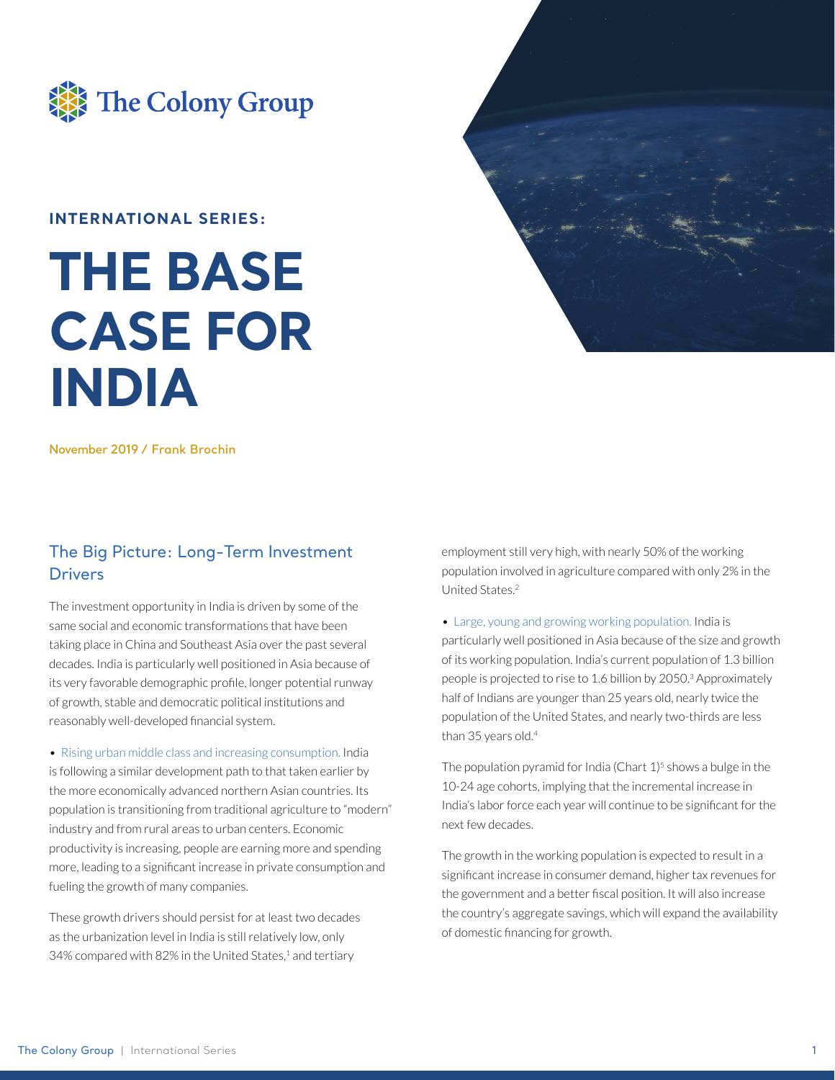

#### **INTERNATIONAL SERIES:**

# **THE BASE CASE FOR INDIA**



**November 2019 / Frank Brochin**

#### The Big Picture: Long-Term Investment **Drivers**

The investment opportunity in India is driven by some of the same social and economic transformations that have been taking place in China and Southeast Asia over the past several decades. India is particularly well positioned in Asia because of its very favorable demographic profile, longer potential runway of growth, stable and democratic political institutions and reasonably well-developed financial system.

• Rising urban middle class and increasing consumption. India is following a similar development path to that taken earlier by the more economically advanced northern Asian countries. Its population is transitioning from traditional agriculture to "modern" industry and from rural areas to urban centers. Economic productivity is increasing, people are earning more and spending more, leading to a significant increase in private consumption and fueling the growth of many companies.

These growth drivers should persist for at least two decades as the urbanization level in India is still relatively low, only 34% compared with 82% in the United States, $1$  and tertiary

employment still very high, with nearly 50% of the working population involved in agriculture compared with only 2% in the United States.2

• Large, young and growing working population. India is particularly well positioned in Asia because of the size and growth of its working population. India's current population of 1.3 billion people is projected to rise to 1.6 billion by 2050.3 Approximately half of Indians are younger than 25 years old, nearly twice the population of the United States, and nearly two-thirds are less than 35 years old.<sup>4</sup>

The population pyramid for India (Chart  $1$ )<sup>5</sup> shows a bulge in the 10-24 age cohorts, implying that the incremental increase in India's labor force each year will continue to be significant for the next few decades.

The growth in the working population is expected to result in a significant increase in consumer demand, higher tax revenues for the government and a better fiscal position. It will also increase the country's aggregate savings, which will expand the availability of domestic financing for growth.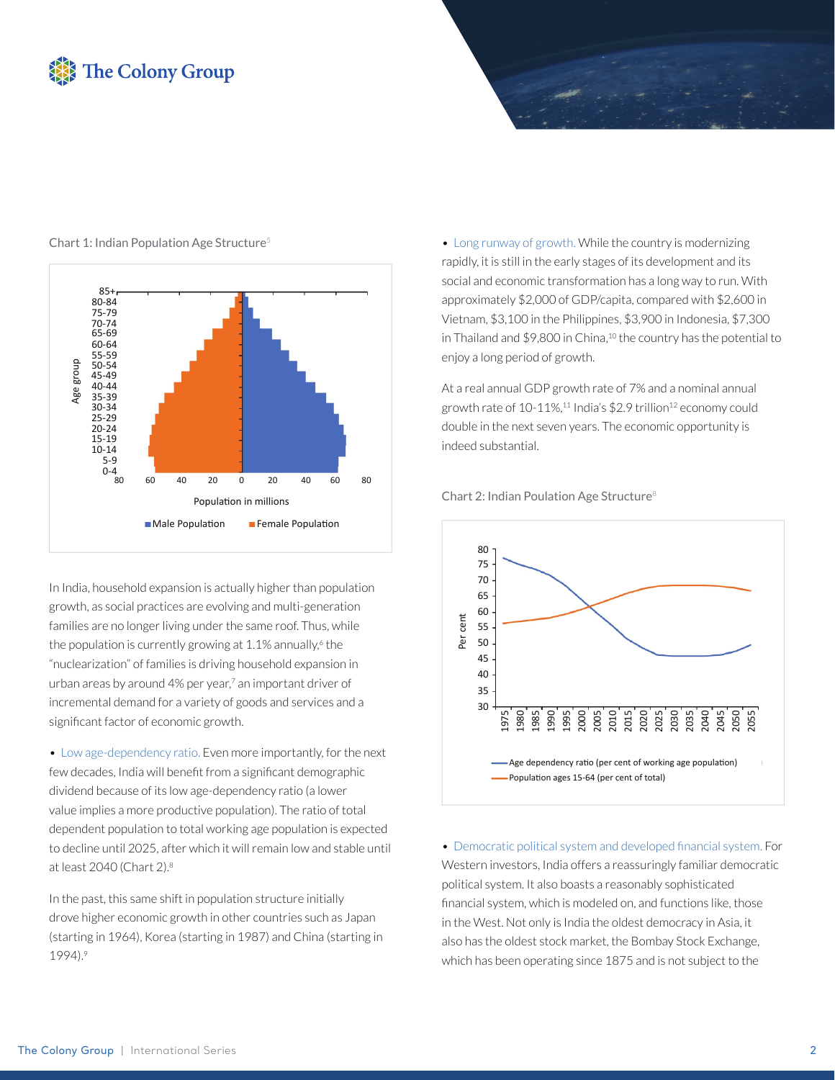## **The Colony Group**



Chart 1: Indian Population Age Structure<sup>5</sup>

In India, household expansion is actually higher than population growth, as social practices are evolving and multi-generation families are no longer living under the same roof. Thus, while the population is currently growing at 1.1% annually,<sup>6</sup> the "nuclearization" of families is driving household expansion in urban areas by around 4% per year,7 an important driver of incremental demand for a variety of goods and services and a significant factor of economic growth.

• Low age-dependency ratio. Even more importantly, for the next few decades, India will benefit from a significant demographic dividend because of its low age-dependency ratio (a lower value implies a more productive population). The ratio of total dependent population to total working age population is expected to decline until 2025, after which it will remain low and stable until at least 2040 (Chart 2).8

In the past, this same shift in population structure initially drove higher economic growth in other countries such as Japan (starting in 1964), Korea (starting in 1987) and China (starting in 1994).9

• Long runway of growth. While the country is modernizing rapidly, it is still in the early stages of its development and its social and economic transformation has a long way to run. With approximately \$2,000 of GDP/capita, compared with \$2,600 in Vietnam, \$3,100 in the Philippines, \$3,900 in Indonesia, \$7,300 in Thailand and \$9,800 in China,<sup>10</sup> the country has the potential to enjoy a long period of growth.

At a real annual GDP growth rate of 7% and a nominal annual growth rate of  $10-11\%,$ <sup>11</sup> India's \$2.9 trillion<sup>12</sup> economy could double in the next seven years. The economic opportunity is indeed substantial.





• Democratic political system and developed financial system. For Western investors, India offers a reassuringly familiar democratic political system. It also boasts a reasonably sophisticated financial system, which is modeled on, and functions like, those in the West. Not only is India the oldest democracy in Asia, it also has the oldest stock market, the Bombay Stock Exchange, which has been operating since 1875 and is not subject to the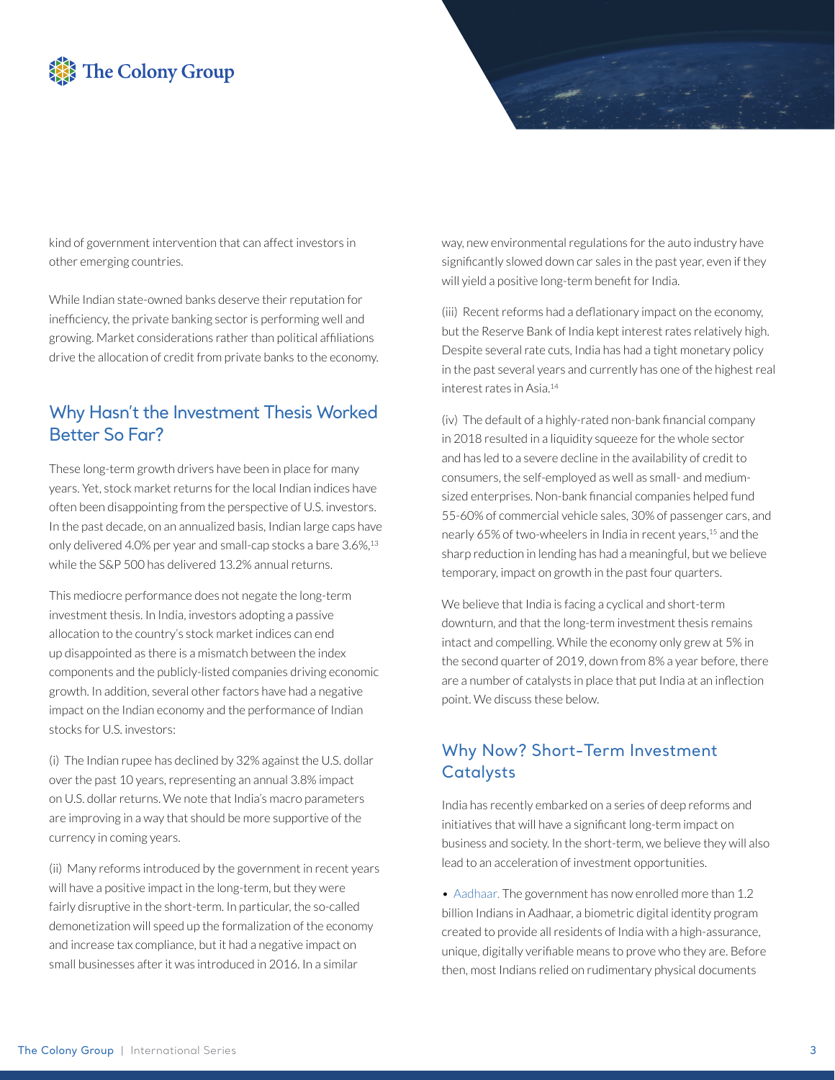# The Colony Group

kind of government intervention that can affect investors in other emerging countries.

While Indian state-owned banks deserve their reputation for inefficiency, the private banking sector is performing well and growing. Market considerations rather than political affiliations drive the allocation of credit from private banks to the economy.

### Why Hasn't the Investment Thesis Worked Better So Far?

These long-term growth drivers have been in place for many years. Yet, stock market returns for the local Indian indices have often been disappointing from the perspective of U.S. investors. In the past decade, on an annualized basis, Indian large caps have only delivered 4.0% per year and small-cap stocks a bare 3.6%,<sup>13</sup> while the S&P 500 has delivered 13.2% annual returns.

This mediocre performance does not negate the long-term investment thesis. In India, investors adopting a passive allocation to the country's stock market indices can end up disappointed as there is a mismatch between the index components and the publicly-listed companies driving economic growth. In addition, several other factors have had a negative impact on the Indian economy and the performance of Indian stocks for U.S. investors:

(i) The Indian rupee has declined by 32% against the U.S. dollar over the past 10 years, representing an annual 3.8% impact on U.S. dollar returns. We note that India's macro parameters are improving in a way that should be more supportive of the currency in coming years.

(ii) Many reforms introduced by the government in recent years will have a positive impact in the long-term, but they were fairly disruptive in the short-term. In particular, the so-called demonetization will speed up the formalization of the economy and increase tax compliance, but it had a negative impact on small businesses after it was introduced in 2016. In a similar

way, new environmental regulations for the auto industry have significantly slowed down car sales in the past year, even if they will yield a positive long-term benefit for India.

(iii) Recent reforms had a deflationary impact on the economy, but the Reserve Bank of India kept interest rates relatively high. Despite several rate cuts, India has had a tight monetary policy in the past several years and currently has one of the highest real interest rates in Asia.14

(iv) The default of a highly-rated non-bank financial company in 2018 resulted in a liquidity squeeze for the whole sector and has led to a severe decline in the availability of credit to consumers, the self-employed as well as small- and mediumsized enterprises. Non-bank financial companies helped fund 55-60% of commercial vehicle sales, 30% of passenger cars, and nearly 65% of two-wheelers in India in recent years,<sup>15</sup> and the sharp reduction in lending has had a meaningful, but we believe temporary, impact on growth in the past four quarters.

We believe that India is facing a cyclical and short-term downturn, and that the long-term investment thesis remains intact and compelling. While the economy only grew at 5% in the second quarter of 2019, down from 8% a year before, there are a number of catalysts in place that put India at an inflection point. We discuss these below.

## Why Now? Short-Term Investment **Catalysts**

India has recently embarked on a series of deep reforms and initiatives that will have a significant long-term impact on business and society. In the short-term, we believe they will also lead to an acceleration of investment opportunities.

• Aadhaar*.* The government has now enrolled more than 1.2 billion Indians in Aadhaar, a biometric digital identity program created to provide all residents of India with a high-assurance, unique, digitally verifiable means to prove who they are. Before then, most Indians relied on rudimentary physical documents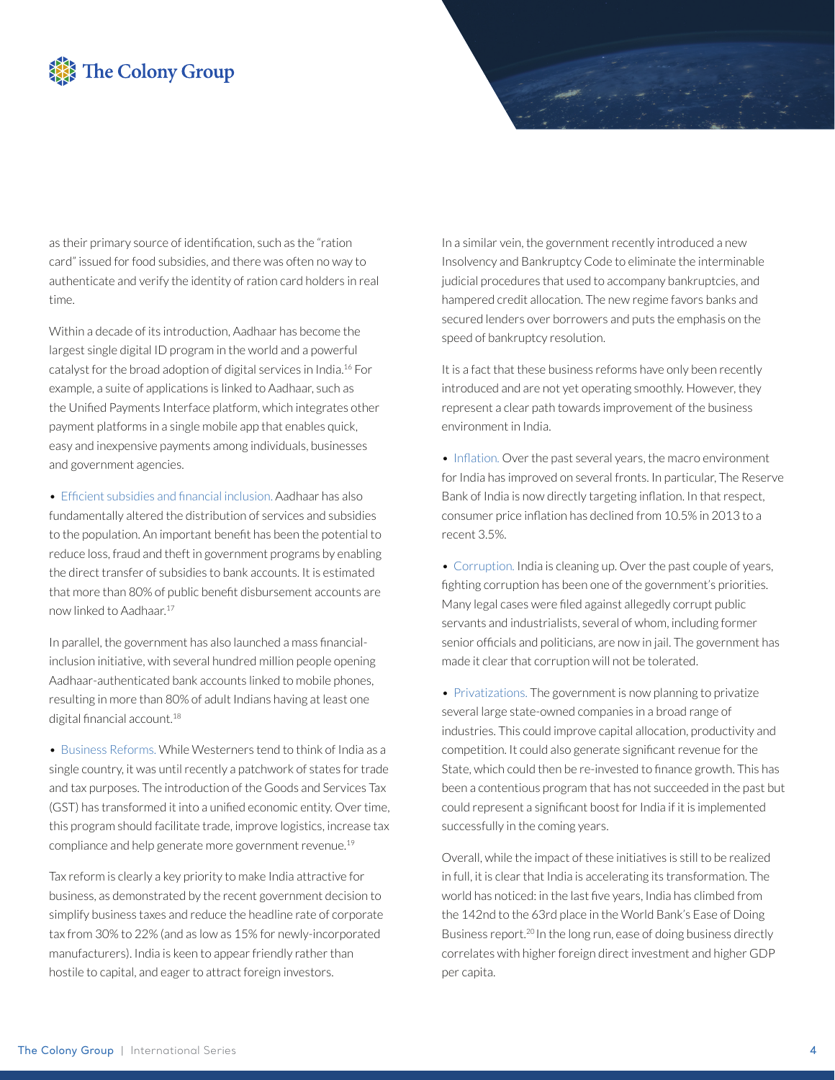## The Colony Group

as their primary source of identification, such as the "ration card" issued for food subsidies, and there was often no way to authenticate and verify the identity of ration card holders in real time.

Within a decade of its introduction, Aadhaar has become the largest single digital ID program in the world and a powerful catalyst for the broad adoption of digital services in India.16 For example, a suite of applications is linked to Aadhaar, such as the Unified Payments Interface platform, which integrates other payment platforms in a single mobile app that enables quick, easy and inexpensive payments among individuals, businesses and government agencies.

• Efficient subsidies and financial inclusion. Aadhaar has also fundamentally altered the distribution of services and subsidies to the population. An important benefit has been the potential to reduce loss, fraud and theft in government programs by enabling the direct transfer of subsidies to bank accounts. It is estimated that more than 80% of public benefit disbursement accounts are now linked to Aadhaar.17

In parallel, the government has also launched a mass financialinclusion initiative, with several hundred million people opening Aadhaar-authenticated bank accounts linked to mobile phones, resulting in more than 80% of adult Indians having at least one digital financial account.<sup>18</sup>

• Business Reforms. While Westerners tend to think of India as a single country, it was until recently a patchwork of states for trade and tax purposes. The introduction of the Goods and Services Tax (GST) has transformed it into a unified economic entity. Over time, this program should facilitate trade, improve logistics, increase tax compliance and help generate more government revenue.19

Tax reform is clearly a key priority to make India attractive for business, as demonstrated by the recent government decision to simplify business taxes and reduce the headline rate of corporate tax from 30% to 22% (and as low as 15% for newly-incorporated manufacturers). India is keen to appear friendly rather than hostile to capital, and eager to attract foreign investors.

In a similar vein, the government recently introduced a new Insolvency and Bankruptcy Code to eliminate the interminable judicial procedures that used to accompany bankruptcies, and hampered credit allocation. The new regime favors banks and secured lenders over borrowers and puts the emphasis on the speed of bankruptcy resolution.

It is a fact that these business reforms have only been recently introduced and are not yet operating smoothly. However, they represent a clear path towards improvement of the business environment in India.

• Inflation. Over the past several years, the macro environment for India has improved on several fronts. In particular, The Reserve Bank of India is now directly targeting inflation. In that respect, consumer price inflation has declined from 10.5% in 2013 to a recent 3.5%.

• Corruption*.* India is cleaning up. Over the past couple of years, fighting corruption has been one of the government's priorities. Many legal cases were filed against allegedly corrupt public servants and industrialists, several of whom, including former senior officials and politicians, are now in jail. The government has made it clear that corruption will not be tolerated.

• Privatizations. The government is now planning to privatize several large state-owned companies in a broad range of industries. This could improve capital allocation, productivity and competition. It could also generate significant revenue for the State, which could then be re-invested to finance growth. This has been a contentious program that has not succeeded in the past but could represent a significant boost for India if it is implemented successfully in the coming years.

Overall, while the impact of these initiatives is still to be realized in full, it is clear that India is accelerating its transformation. The world has noticed: in the last five years, India has climbed from the 142nd to the 63rd place in the World Bank's Ease of Doing Business report.<sup>20</sup> In the long run, ease of doing business directly correlates with higher foreign direct investment and higher GDP per capita.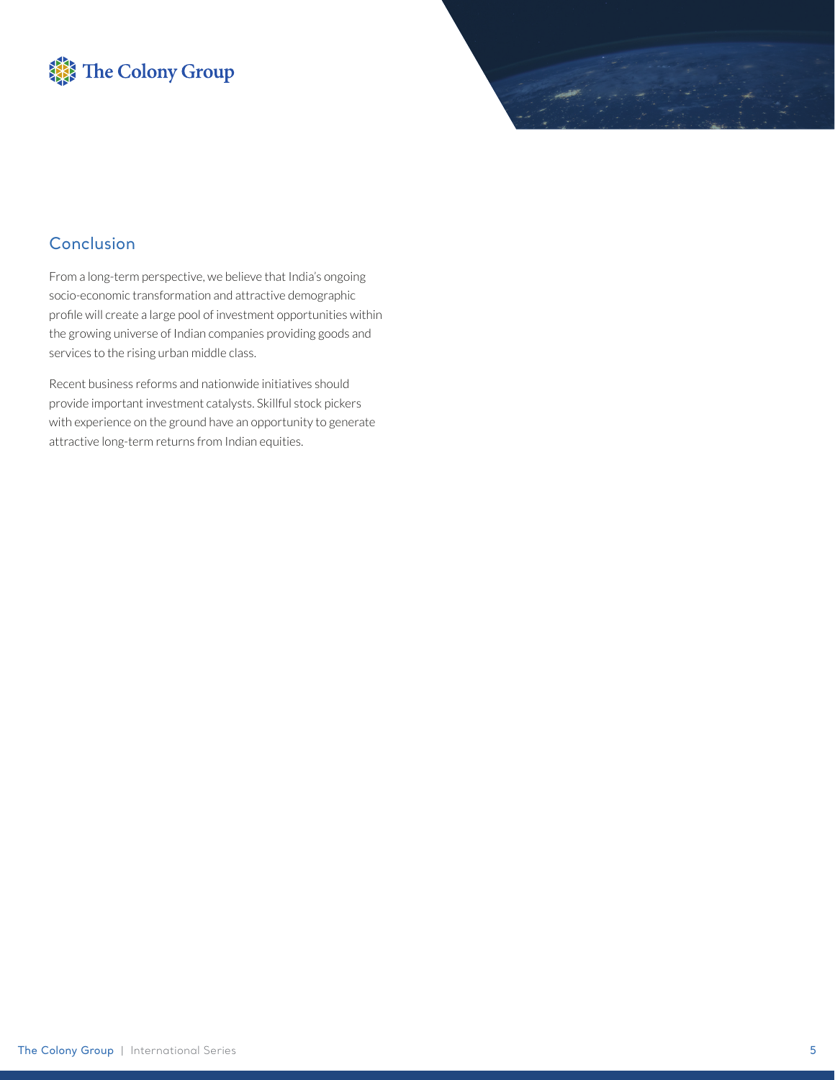



#### Conclusion

From a long-term perspective, we believe that India's ongoing socio-economic transformation and attractive demographic profile will create a large pool of investment opportunities within the growing universe of Indian companies providing goods and services to the rising urban middle class.

Recent business reforms and nationwide initiatives should provide important investment catalysts. Skillful stock pickers with experience on the ground have an opportunity to generate attractive long-term returns from Indian equities.